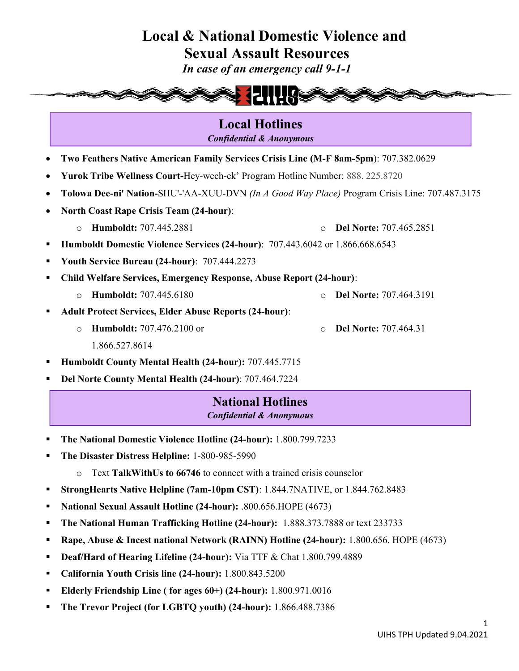Sexual Assault Resources

In case of an emergency call 9-1-1



Local Hotlines Confidential & Anonymous

- Two Feathers Native American Family Services Crisis Line (M-F 8am-5pm): 707.382.0629
- Yurok Tribe Wellness Court-Hey-wech-ek' Program Hotline Number: 888. 225.8720
- Tolowa Dee-ni' Nation-SHU'-'AA-XUU-DVN (In A Good Way Place) Program Crisis Line: 707.487.3175
- North Coast Rape Crisis Team (24-hour):
	- o Humboldt: 707.445.2881 o Del Norte: 707.465.2851
- Humboldt Domestic Violence Services (24-hour): 707.443.6042 or 1.866.668.6543
- Youth Service Bureau (24-hour): 707.444.2273
- Child Welfare Services, Emergency Response, Abuse Report (24-hour):
	- o Humboldt: 707.445.6180 o Del Norte: 707.464.3191
- Adult Protect Services, Elder Abuse Reports (24-hour):
	- o Humboldt: 707.476.2100 or 1.866.527.8614
- Humboldt County Mental Health (24-hour): 707.445.7715
- Del Norte County Mental Health (24-hour): 707.464.7224

### National Hotlines Confidential & Anonymous

- The National Domestic Violence Hotline (24-hour): 1.800.799.7233
- The Disaster Distress Helpline: 1-800-985-5990
	- o Text TalkWithUs to 66746 to connect with a trained crisis counselor
- StrongHearts Native Helpline (7am-10pm CST): 1.844.7NATIVE, or 1.844.762.8483
- National Sexual Assault Hotline (24-hour): .800.656.HOPE (4673)
- The National Human Trafficking Hotline (24-hour): 1.888.373.7888 or text 233733
- Rape, Abuse & Incest national Network (RAINN) Hotline (24-hour): 1.800.656. HOPE (4673)
- Deaf/Hard of Hearing Lifeline (24-hour): Via TTF & Chat 1.800.799.4889
- California Youth Crisis line (24-hour): 1.800.843.5200
- Elderly Friendship Line ( for ages 60+) (24-hour): 1.800.971.0016
- The Trevor Project (for LGBTQ youth) (24-hour): 1.866.488.7386

o Del Norte: 707.464.31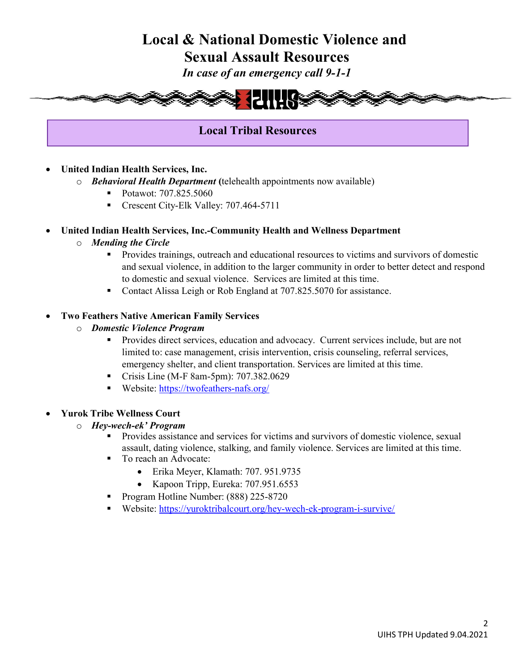Sexual Assault Resources

In case of an emergency call 9-1-1



## Local Tribal Resources

- United Indian Health Services, Inc.
	- o Behavioral Health Department (telehealth appointments now available)
		- Potawot: 707.825.5060
		- Crescent City-Elk Valley: 707.464-5711

### United Indian Health Services, Inc.-Community Health and Wellness Department

- o Mending the Circle
	- **Provides trainings, outreach and educational resources to victims and survivors of domestic** and sexual violence, in addition to the larger community in order to better detect and respond to domestic and sexual violence. Services are limited at this time.
	- Contact Alissa Leigh or Rob England at 707.825.5070 for assistance.

### Two Feathers Native American Family Services

- o Domestic Violence Program
	- Provides direct services, education and advocacy. Current services include, but are not limited to: case management, crisis intervention, crisis counseling, referral services, emergency shelter, and client transportation. Services are limited at this time.
	- Crisis Line (M-F 8am-5pm): 707.382.0629
	- Website: https://twofeathers-nafs.org/

### Yurok Tribe Wellness Court

#### o Hey-wech-ek' Program

- Provides assistance and services for victims and survivors of domestic violence, sexual assault, dating violence, stalking, and family violence. Services are limited at this time.
- To reach an Advocate:
	- Erika Meyer, Klamath: 707. 951.9735
	- Kapoon Tripp, Eureka: 707.951.6553
- Program Hotline Number: (888) 225-8720
- Website: https://yuroktribalcourt.org/hey-wech-ek-program-i-survive/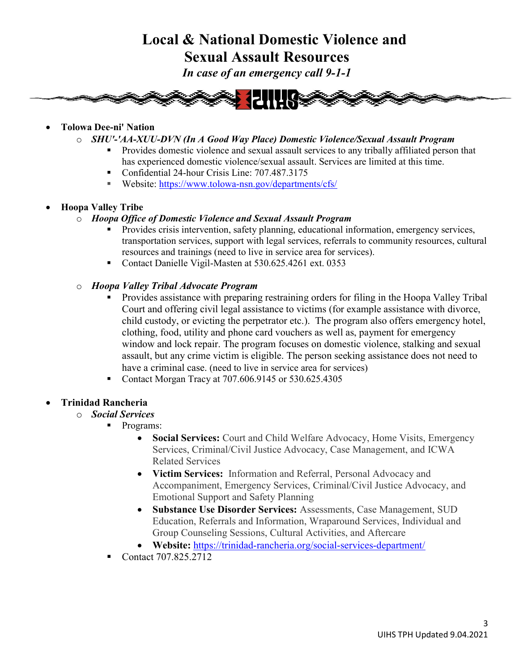## Local & National Domestic Violence and Sexual Assault Resources

In case of an emergency call 9-1-1



### Tolowa Dee-ni' Nation

- o SHU'-'AA-XUU-DVN (In A Good Way Place) Domestic Violence/Sexual Assault Program
	- Provides domestic violence and sexual assault services to any tribally affiliated person that has experienced domestic violence/sexual assault. Services are limited at this time.
	- Confidential 24-hour Crisis Line: 707.487.3175
	- Website: https://www.tolowa-nsn.gov/departments/cfs/
- Hoopa Valley Tribe
	- o Hoopa Office of Domestic Violence and Sexual Assault Program
		- Provides crisis intervention, safety planning, educational information, emergency services, transportation services, support with legal services, referrals to community resources, cultural resources and trainings (need to live in service area for services).
		- Contact Danielle Vigil-Masten at 530.625.4261 ext. 0353

### o Hoopa Valley Tribal Advocate Program

- **•** Provides assistance with preparing restraining orders for filing in the Hoopa Valley Tribal Court and offering civil legal assistance to victims (for example assistance with divorce, child custody, or evicting the perpetrator etc.). The program also offers emergency hotel, clothing, food, utility and phone card vouchers as well as, payment for emergency window and lock repair. The program focuses on domestic violence, stalking and sexual assault, but any crime victim is eligible. The person seeking assistance does not need to have a criminal case. (need to live in service area for services)
- Contact Morgan Tracy at 707.606.9145 or 530.625.4305

### Trinidad Rancheria

- o Social Services
	- **Programs:** 
		- Social Services: Court and Child Welfare Advocacy, Home Visits, Emergency Services, Criminal/Civil Justice Advocacy, Case Management, and ICWA Related Services
		- Victim Services: Information and Referral, Personal Advocacy and Accompaniment, Emergency Services, Criminal/Civil Justice Advocacy, and Emotional Support and Safety Planning
		- Substance Use Disorder Services: Assessments, Case Management, SUD Education, Referrals and Information, Wraparound Services, Individual and Group Counseling Sessions, Cultural Activities, and Aftercare
		- Website: https://trinidad-rancheria.org/social-services-department/
	- Contact 707.825.2712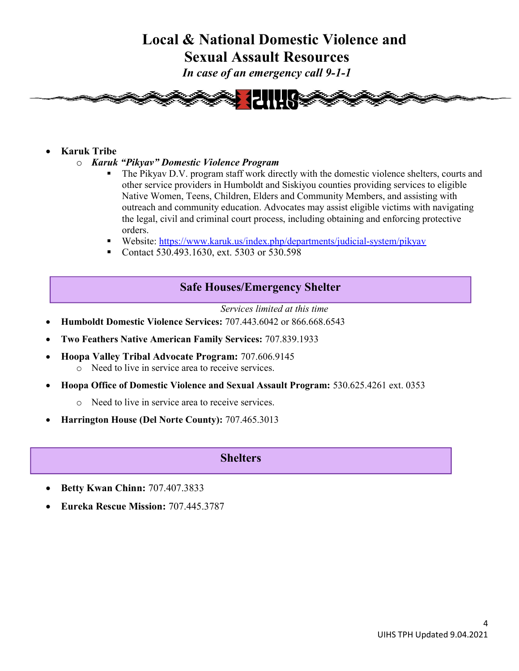Sexual Assault Resources

In case of an emergency call 9-1-1



### Karuk Tribe

- o Karuk "Pikyav" Domestic Violence Program
	- The Pikyav D.V. program staff work directly with the domestic violence shelters, courts and other service providers in Humboldt and Siskiyou counties providing services to eligible Native Women, Teens, Children, Elders and Community Members, and assisting with outreach and community education. Advocates may assist eligible victims with navigating the legal, civil and criminal court process, including obtaining and enforcing protective orders.
	- Website: https://www.karuk.us/index.php/departments/judicial-system/pikyav
	- Contact 530.493.1630, ext. 5303 or 530.598

### Safe Houses/Emergency Shelter

Services limited at this time Humboldt Domestic Violence Services: 707.443.6042 or 866.668.6543

- Two Feathers Native American Family Services: 707.839.1933
- Hoopa Valley Tribal Advocate Program: 707.606.9145
	- o Need to live in service area to receive services.
- Hoopa Office of Domestic Violence and Sexual Assault Program: 530.625.4261 ext. 0353
	- o Need to live in service area to receive services.
- Harrington House (Del Norte County): 707.465.3013

### **Shelters**

- Betty Kwan Chinn: 707.407.3833
- Eureka Rescue Mission: 707.445.3787